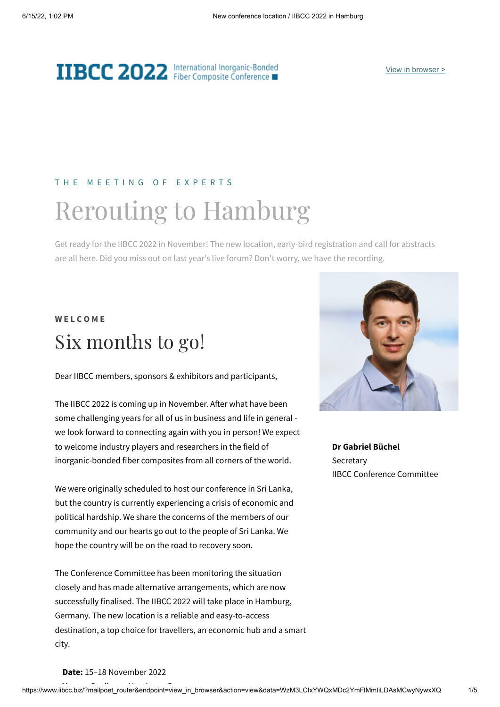# **IIBCC 2022** International Inorganic-Bonded

#### T H E M E E T I N G O F E X P E R T S

# Rerouting to Hamburg

Get ready for the IIBCC 2022 in November! The new location, early-bird registration and call for abstracts are all here. Did you miss out on last year's live forum? Don't worry, we have the recording.

### **W E L C O M E** Six months to go!

Dear IIBCC members, sponsors & exhibitors and participants,

The IIBCC 2022 is coming up in November. After what have been some challenging years for all of us in business and life in general we look forward to connecting again with you in person! We expect to welcome industry players and researchers in the field of inorganic-bonded fiber composites from all corners of the world.

We were originally scheduled to host our conference in Sri Lanka, but the country is currently experiencing a crisis of economic and political hardship. We share the concerns of the members of our community and our hearts go out to the people of Sri Lanka. We hope the country will be on the road to recovery soon.

The Conference Committee has been monitoring the situation closely and has made alternative arrangements, which are now successfully finalised. The IIBCC 2022 will take place in Hamburg, Germany. The new location is a reliable and easy-to-access destination, a top choice for travellers, an economic hub and a smart city.



**Dr Gabriel Büchel Secretary** IIBCC Conference Committee

#### **Date:** 15–18 November 2022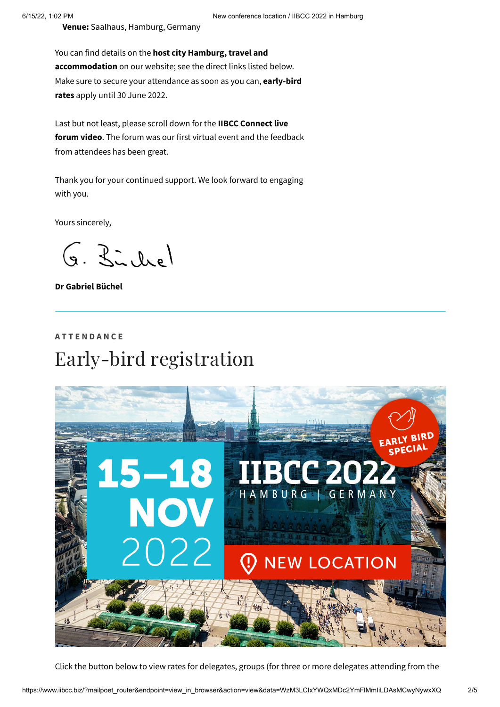**Venue:** Saalhaus, Hamburg, Germany

You can find details on the **host city Hamburg, travel and accommodation** on our website; see the direct links listed below. Make sure to secure your attendance as soon as you can, **early-bird rates** apply until 30 June 2022.

Last but not least, please scroll down for the **IIBCC Connect live forum video**. The forum was our first virtual event and the feedback from attendees has been great.

Thank you for your continued support. We look forward to engaging with you.

Yours sincerely,

G. Birchel

**Dr Gabriel Büchel**

### **A T T E N D A N C E** Early-bird registration



Click the button below to view rates for delegates, groups (for three or more delegates attending from the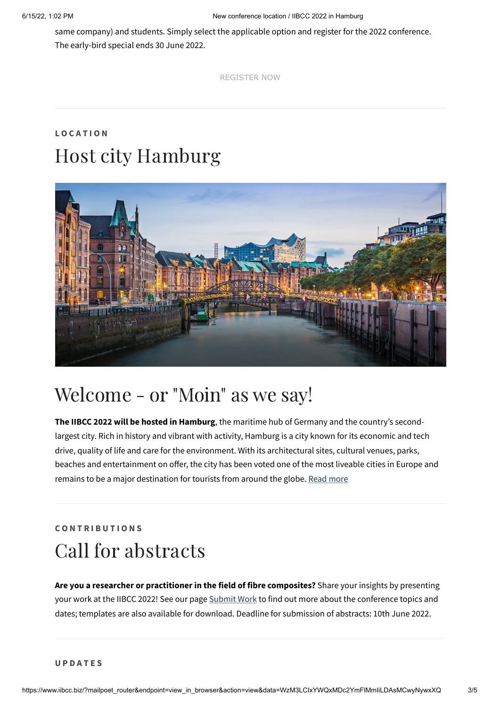same company) and students. Simply select the applicable option and register for the 2022 conference. The early-bird special ends 30 June 2022.

[REGISTER NOW](https://www.iibcc.biz/register/?utm_source=mailpoet&utm_medium=email&utm_campaign=iibcc-2022-announcement)

### **L O C A T I O N** Host city Hamburg



# Welcome - or "Moin" as we say!

**The IIBCC 2022 will be hosted in Hamburg**, the maritime hub of Germany and the country's secondlargest city. Rich in history and vibrant with activity, Hamburg is a city known for its economic and tech drive, quality of life and care for the environment. With its architectural sites, cultural venues, parks, beaches and entertainment on offer, the city has been voted one of the most liveable cities in Europe and remains to be a major destination for tourists from around the globe. Read [more](https://www.iibcc.biz/iibcc-2022/host-city-hamburg/?utm_source=mailpoet&utm_medium=email&utm_campaign=iibcc-2022-announcement)

### **C O N T R I B U T I O N S** Call for abstracts

**Are you a researcher or practitioner in the field of fibre composites?** Share your insights by presenting your work at the IIBCC 2022! See our page [Submit](https://www.iibcc.biz/iibcc-2022/submit-work/?utm_source=mailpoet&utm_medium=email&utm_campaign=iibcc-2022-announcement) Work to find out more about the conference topics and dates; templates are also available for download. Deadline for submission of abstracts: 10th June 2022.

**U P D A T E S**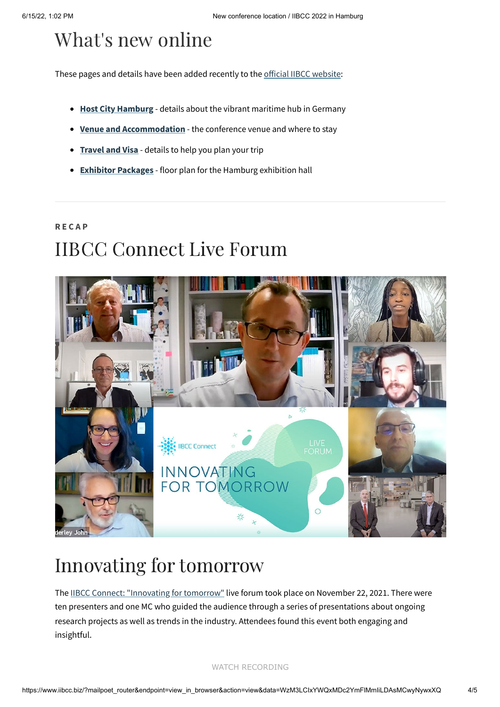# What's new online

These pages and details have been added recently to the official IIBCC [website:](https://www.iibcc.biz/?utm_source=mailpoet&utm_medium=email&utm_campaign=iibcc-2022-announcement)

- **Host City [Hamburg](https://www.iibcc.biz/iibcc-2022/host-city-hamburg/?utm_source=mailpoet&utm_medium=email&utm_campaign=iibcc-2022-announcement)** details about the vibrant maritime hub in Germany
- **Venue and [Accommodation](https://www.iibcc.biz/iibcc-2022/venue-and-accommodation/?utm_source=mailpoet&utm_medium=email&utm_campaign=iibcc-2022-announcement)** the conference venue and where to stay
- **[Travel](https://www.iibcc.biz/iibcc-2022/travel-and-visa/?utm_source=mailpoet&utm_medium=email&utm_campaign=iibcc-2022-announcement) and Visa** details to help you plan your trip  $\bullet$
- **Exhibitor [Packages](https://www.iibcc.biz/sponsorexhibitor/exhibitor-packages/?utm_source=mailpoet&utm_medium=email&utm_campaign=iibcc-2022-announcement)** floor plan for the Hamburg exhibition hall

### **R E C A P** IIBCC Connect Live Forum



# Innovating for tomorrow

The IIBCC Connect: ["Innovating](https://www.iibcc.biz/about/history/iibcc-connect-2021-innovating-for-tomorrow/?utm_source=mailpoet&utm_medium=email&utm_campaign=iibcc-2022-announcement) for tomorrow" live forum took place on November 22, 2021. There were ten presenters and one MC who guided the audience through a series of presentations about ongoing research projects as well as trends in the industry. Attendees found this event both engaging and insightful.

#### [WATCH RECORDING](https://www.iibcc.biz/about/in-pictures/iibcc-connect-2021-online/?utm_source=mailpoet&utm_medium=email&utm_campaign=iibcc-2022-announcement)